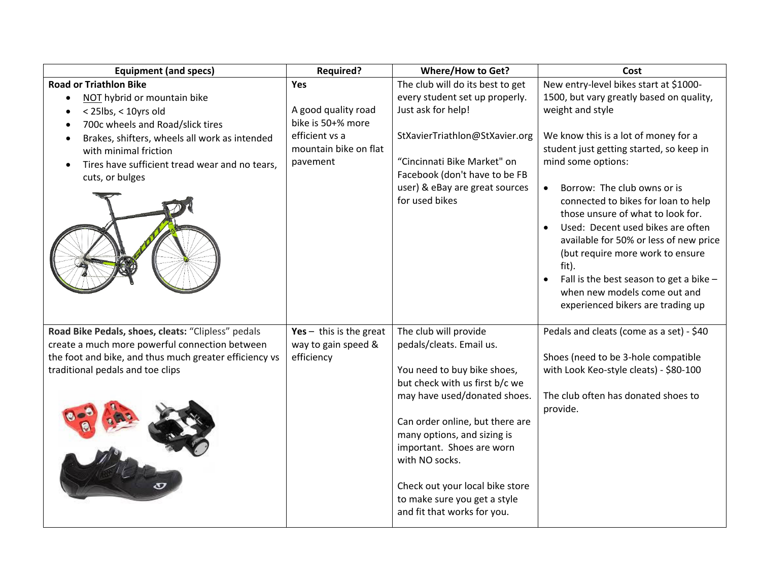| <b>Road or Triathlon Bike</b><br>New entry-level bikes start at \$1000-<br>The club will do its best to get<br><b>Yes</b><br>every student set up properly.<br>1500, but vary greatly based on quality,<br>NOT hybrid or mountain bike<br>$\bullet$<br>A good quality road<br>Just ask for help!<br>weight and style<br>< 25lbs, < 10yrs old<br>bike is 50+% more<br>700c wheels and Road/slick tires<br>efficient vs a<br>StXavierTriathlon@StXavier.org<br>We know this is a lot of money for a<br>Brakes, shifters, wheels all work as intended<br>mountain bike on flat<br>student just getting started, so keep in<br>with minimal friction<br>"Cincinnati Bike Market" on<br>mind some options:<br>pavement<br>Tires have sufficient tread wear and no tears,<br>Facebook (don't have to be FB<br>cuts, or bulges<br>user) & eBay are great sources<br>Borrow: The club owns or is<br>for used bikes<br>connected to bikes for loan to help<br>those unsure of what to look for.<br>Used: Decent used bikes are often<br>available for 50% or less of new price<br>(but require more work to ensure<br>fit).<br>Fall is the best season to get a bike -<br>when new models come out and<br>experienced bikers are trading up<br>Road Bike Pedals, shoes, cleats: "Clipless" pedals<br>The club will provide<br>Pedals and cleats (come as a set) - \$40<br>Yes $-$ this is the great<br>create a much more powerful connection between<br>way to gain speed &<br>pedals/cleats. Email us.<br>the foot and bike, and thus much greater efficiency vs<br>Shoes (need to be 3-hole compatible<br>efficiency<br>You need to buy bike shoes,<br>with Look Keo-style cleats) - \$80-100<br>traditional pedals and toe clips<br>but check with us first b/c we<br>may have used/donated shoes.<br>The club often has donated shoes to<br>provide.<br>Can order online, but there are<br>many options, and sizing is<br>important. Shoes are worn<br>with NO socks.<br>Check out your local bike store | <b>Equipment (and specs)</b> | <b>Required?</b> | <b>Where/How to Get?</b>     | Cost |
|------------------------------------------------------------------------------------------------------------------------------------------------------------------------------------------------------------------------------------------------------------------------------------------------------------------------------------------------------------------------------------------------------------------------------------------------------------------------------------------------------------------------------------------------------------------------------------------------------------------------------------------------------------------------------------------------------------------------------------------------------------------------------------------------------------------------------------------------------------------------------------------------------------------------------------------------------------------------------------------------------------------------------------------------------------------------------------------------------------------------------------------------------------------------------------------------------------------------------------------------------------------------------------------------------------------------------------------------------------------------------------------------------------------------------------------------------------------------------------------------------------------------------------------------------------------------------------------------------------------------------------------------------------------------------------------------------------------------------------------------------------------------------------------------------------------------------------------------------------------------------------------------------------------------------------------------------------------------------------------------------|------------------------------|------------------|------------------------------|------|
|                                                                                                                                                                                                                                                                                                                                                                                                                                                                                                                                                                                                                                                                                                                                                                                                                                                                                                                                                                                                                                                                                                                                                                                                                                                                                                                                                                                                                                                                                                                                                                                                                                                                                                                                                                                                                                                                                                                                                                                                      |                              |                  |                              |      |
|                                                                                                                                                                                                                                                                                                                                                                                                                                                                                                                                                                                                                                                                                                                                                                                                                                                                                                                                                                                                                                                                                                                                                                                                                                                                                                                                                                                                                                                                                                                                                                                                                                                                                                                                                                                                                                                                                                                                                                                                      |                              |                  |                              |      |
|                                                                                                                                                                                                                                                                                                                                                                                                                                                                                                                                                                                                                                                                                                                                                                                                                                                                                                                                                                                                                                                                                                                                                                                                                                                                                                                                                                                                                                                                                                                                                                                                                                                                                                                                                                                                                                                                                                                                                                                                      |                              |                  |                              |      |
|                                                                                                                                                                                                                                                                                                                                                                                                                                                                                                                                                                                                                                                                                                                                                                                                                                                                                                                                                                                                                                                                                                                                                                                                                                                                                                                                                                                                                                                                                                                                                                                                                                                                                                                                                                                                                                                                                                                                                                                                      |                              |                  |                              |      |
|                                                                                                                                                                                                                                                                                                                                                                                                                                                                                                                                                                                                                                                                                                                                                                                                                                                                                                                                                                                                                                                                                                                                                                                                                                                                                                                                                                                                                                                                                                                                                                                                                                                                                                                                                                                                                                                                                                                                                                                                      |                              |                  |                              |      |
|                                                                                                                                                                                                                                                                                                                                                                                                                                                                                                                                                                                                                                                                                                                                                                                                                                                                                                                                                                                                                                                                                                                                                                                                                                                                                                                                                                                                                                                                                                                                                                                                                                                                                                                                                                                                                                                                                                                                                                                                      |                              |                  |                              |      |
|                                                                                                                                                                                                                                                                                                                                                                                                                                                                                                                                                                                                                                                                                                                                                                                                                                                                                                                                                                                                                                                                                                                                                                                                                                                                                                                                                                                                                                                                                                                                                                                                                                                                                                                                                                                                                                                                                                                                                                                                      |                              |                  |                              |      |
|                                                                                                                                                                                                                                                                                                                                                                                                                                                                                                                                                                                                                                                                                                                                                                                                                                                                                                                                                                                                                                                                                                                                                                                                                                                                                                                                                                                                                                                                                                                                                                                                                                                                                                                                                                                                                                                                                                                                                                                                      |                              |                  |                              |      |
|                                                                                                                                                                                                                                                                                                                                                                                                                                                                                                                                                                                                                                                                                                                                                                                                                                                                                                                                                                                                                                                                                                                                                                                                                                                                                                                                                                                                                                                                                                                                                                                                                                                                                                                                                                                                                                                                                                                                                                                                      |                              |                  |                              |      |
|                                                                                                                                                                                                                                                                                                                                                                                                                                                                                                                                                                                                                                                                                                                                                                                                                                                                                                                                                                                                                                                                                                                                                                                                                                                                                                                                                                                                                                                                                                                                                                                                                                                                                                                                                                                                                                                                                                                                                                                                      |                              |                  |                              |      |
|                                                                                                                                                                                                                                                                                                                                                                                                                                                                                                                                                                                                                                                                                                                                                                                                                                                                                                                                                                                                                                                                                                                                                                                                                                                                                                                                                                                                                                                                                                                                                                                                                                                                                                                                                                                                                                                                                                                                                                                                      |                              |                  |                              |      |
|                                                                                                                                                                                                                                                                                                                                                                                                                                                                                                                                                                                                                                                                                                                                                                                                                                                                                                                                                                                                                                                                                                                                                                                                                                                                                                                                                                                                                                                                                                                                                                                                                                                                                                                                                                                                                                                                                                                                                                                                      |                              |                  |                              |      |
|                                                                                                                                                                                                                                                                                                                                                                                                                                                                                                                                                                                                                                                                                                                                                                                                                                                                                                                                                                                                                                                                                                                                                                                                                                                                                                                                                                                                                                                                                                                                                                                                                                                                                                                                                                                                                                                                                                                                                                                                      |                              |                  |                              |      |
|                                                                                                                                                                                                                                                                                                                                                                                                                                                                                                                                                                                                                                                                                                                                                                                                                                                                                                                                                                                                                                                                                                                                                                                                                                                                                                                                                                                                                                                                                                                                                                                                                                                                                                                                                                                                                                                                                                                                                                                                      |                              |                  |                              |      |
|                                                                                                                                                                                                                                                                                                                                                                                                                                                                                                                                                                                                                                                                                                                                                                                                                                                                                                                                                                                                                                                                                                                                                                                                                                                                                                                                                                                                                                                                                                                                                                                                                                                                                                                                                                                                                                                                                                                                                                                                      |                              |                  |                              |      |
|                                                                                                                                                                                                                                                                                                                                                                                                                                                                                                                                                                                                                                                                                                                                                                                                                                                                                                                                                                                                                                                                                                                                                                                                                                                                                                                                                                                                                                                                                                                                                                                                                                                                                                                                                                                                                                                                                                                                                                                                      |                              |                  |                              |      |
|                                                                                                                                                                                                                                                                                                                                                                                                                                                                                                                                                                                                                                                                                                                                                                                                                                                                                                                                                                                                                                                                                                                                                                                                                                                                                                                                                                                                                                                                                                                                                                                                                                                                                                                                                                                                                                                                                                                                                                                                      |                              |                  |                              |      |
|                                                                                                                                                                                                                                                                                                                                                                                                                                                                                                                                                                                                                                                                                                                                                                                                                                                                                                                                                                                                                                                                                                                                                                                                                                                                                                                                                                                                                                                                                                                                                                                                                                                                                                                                                                                                                                                                                                                                                                                                      |                              |                  |                              |      |
|                                                                                                                                                                                                                                                                                                                                                                                                                                                                                                                                                                                                                                                                                                                                                                                                                                                                                                                                                                                                                                                                                                                                                                                                                                                                                                                                                                                                                                                                                                                                                                                                                                                                                                                                                                                                                                                                                                                                                                                                      |                              |                  |                              |      |
|                                                                                                                                                                                                                                                                                                                                                                                                                                                                                                                                                                                                                                                                                                                                                                                                                                                                                                                                                                                                                                                                                                                                                                                                                                                                                                                                                                                                                                                                                                                                                                                                                                                                                                                                                                                                                                                                                                                                                                                                      |                              |                  |                              |      |
|                                                                                                                                                                                                                                                                                                                                                                                                                                                                                                                                                                                                                                                                                                                                                                                                                                                                                                                                                                                                                                                                                                                                                                                                                                                                                                                                                                                                                                                                                                                                                                                                                                                                                                                                                                                                                                                                                                                                                                                                      |                              |                  |                              |      |
|                                                                                                                                                                                                                                                                                                                                                                                                                                                                                                                                                                                                                                                                                                                                                                                                                                                                                                                                                                                                                                                                                                                                                                                                                                                                                                                                                                                                                                                                                                                                                                                                                                                                                                                                                                                                                                                                                                                                                                                                      |                              |                  |                              |      |
|                                                                                                                                                                                                                                                                                                                                                                                                                                                                                                                                                                                                                                                                                                                                                                                                                                                                                                                                                                                                                                                                                                                                                                                                                                                                                                                                                                                                                                                                                                                                                                                                                                                                                                                                                                                                                                                                                                                                                                                                      |                              |                  |                              |      |
|                                                                                                                                                                                                                                                                                                                                                                                                                                                                                                                                                                                                                                                                                                                                                                                                                                                                                                                                                                                                                                                                                                                                                                                                                                                                                                                                                                                                                                                                                                                                                                                                                                                                                                                                                                                                                                                                                                                                                                                                      |                              |                  |                              |      |
|                                                                                                                                                                                                                                                                                                                                                                                                                                                                                                                                                                                                                                                                                                                                                                                                                                                                                                                                                                                                                                                                                                                                                                                                                                                                                                                                                                                                                                                                                                                                                                                                                                                                                                                                                                                                                                                                                                                                                                                                      |                              |                  |                              |      |
|                                                                                                                                                                                                                                                                                                                                                                                                                                                                                                                                                                                                                                                                                                                                                                                                                                                                                                                                                                                                                                                                                                                                                                                                                                                                                                                                                                                                                                                                                                                                                                                                                                                                                                                                                                                                                                                                                                                                                                                                      |                              |                  |                              |      |
|                                                                                                                                                                                                                                                                                                                                                                                                                                                                                                                                                                                                                                                                                                                                                                                                                                                                                                                                                                                                                                                                                                                                                                                                                                                                                                                                                                                                                                                                                                                                                                                                                                                                                                                                                                                                                                                                                                                                                                                                      |                              |                  |                              |      |
|                                                                                                                                                                                                                                                                                                                                                                                                                                                                                                                                                                                                                                                                                                                                                                                                                                                                                                                                                                                                                                                                                                                                                                                                                                                                                                                                                                                                                                                                                                                                                                                                                                                                                                                                                                                                                                                                                                                                                                                                      |                              |                  |                              |      |
|                                                                                                                                                                                                                                                                                                                                                                                                                                                                                                                                                                                                                                                                                                                                                                                                                                                                                                                                                                                                                                                                                                                                                                                                                                                                                                                                                                                                                                                                                                                                                                                                                                                                                                                                                                                                                                                                                                                                                                                                      |                              |                  |                              |      |
|                                                                                                                                                                                                                                                                                                                                                                                                                                                                                                                                                                                                                                                                                                                                                                                                                                                                                                                                                                                                                                                                                                                                                                                                                                                                                                                                                                                                                                                                                                                                                                                                                                                                                                                                                                                                                                                                                                                                                                                                      |                              |                  |                              |      |
|                                                                                                                                                                                                                                                                                                                                                                                                                                                                                                                                                                                                                                                                                                                                                                                                                                                                                                                                                                                                                                                                                                                                                                                                                                                                                                                                                                                                                                                                                                                                                                                                                                                                                                                                                                                                                                                                                                                                                                                                      |                              |                  |                              |      |
|                                                                                                                                                                                                                                                                                                                                                                                                                                                                                                                                                                                                                                                                                                                                                                                                                                                                                                                                                                                                                                                                                                                                                                                                                                                                                                                                                                                                                                                                                                                                                                                                                                                                                                                                                                                                                                                                                                                                                                                                      |                              |                  | to make sure you get a style |      |
| and fit that works for you.                                                                                                                                                                                                                                                                                                                                                                                                                                                                                                                                                                                                                                                                                                                                                                                                                                                                                                                                                                                                                                                                                                                                                                                                                                                                                                                                                                                                                                                                                                                                                                                                                                                                                                                                                                                                                                                                                                                                                                          |                              |                  |                              |      |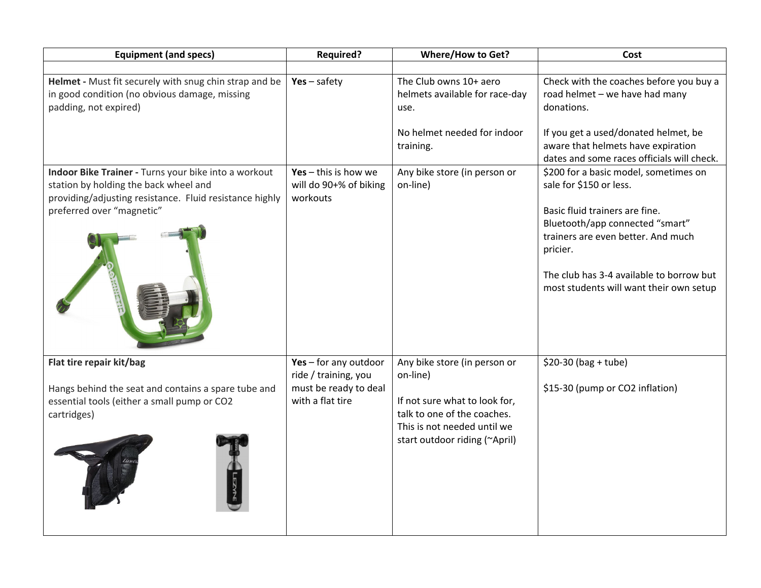| <b>Equipment (and specs)</b>                                                                                                                                                          | <b>Required?</b>                                             | <b>Where/How to Get?</b>                                                                                                     | Cost                                                                                                                                                                                    |
|---------------------------------------------------------------------------------------------------------------------------------------------------------------------------------------|--------------------------------------------------------------|------------------------------------------------------------------------------------------------------------------------------|-----------------------------------------------------------------------------------------------------------------------------------------------------------------------------------------|
|                                                                                                                                                                                       |                                                              |                                                                                                                              |                                                                                                                                                                                         |
| Helmet - Must fit securely with snug chin strap and be<br>in good condition (no obvious damage, missing<br>padding, not expired)                                                      | $Yes - safety$                                               | The Club owns 10+ aero<br>helmets available for race-day<br>use.                                                             | Check with the coaches before you buy a<br>road helmet - we have had many<br>donations.                                                                                                 |
|                                                                                                                                                                                       |                                                              | No helmet needed for indoor<br>training.                                                                                     | If you get a used/donated helmet, be<br>aware that helmets have expiration<br>dates and some races officials will check.                                                                |
| Indoor Bike Trainer - Turns your bike into a workout<br>station by holding the back wheel and<br>providing/adjusting resistance. Fluid resistance highly<br>preferred over "magnetic" | Yes $-$ this is how we<br>will do 90+% of biking<br>workouts | Any bike store (in person or<br>on-line)                                                                                     | \$200 for a basic model, sometimes on<br>sale for \$150 or less.<br>Basic fluid trainers are fine.<br>Bluetooth/app connected "smart"<br>trainers are even better. And much<br>pricier. |
|                                                                                                                                                                                       |                                                              |                                                                                                                              | The club has 3-4 available to borrow but<br>most students will want their own setup                                                                                                     |
| Flat tire repair kit/bag                                                                                                                                                              | Yes - for any outdoor<br>ride / training, you                | Any bike store (in person or<br>on-line)                                                                                     | $$20-30$ (bag + tube)                                                                                                                                                                   |
| Hangs behind the seat and contains a spare tube and<br>essential tools (either a small pump or CO2<br>cartridges)                                                                     | must be ready to deal<br>with a flat tire                    | If not sure what to look for,<br>talk to one of the coaches.<br>This is not needed until we<br>start outdoor riding (~April) | \$15-30 (pump or CO2 inflation)                                                                                                                                                         |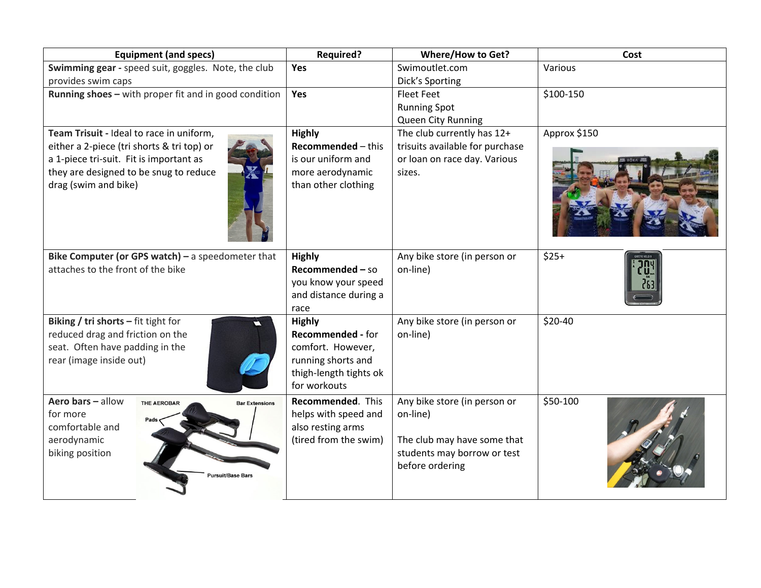|                                            | <b>Equipment (and specs)</b>                          | <b>Required?</b>          | <b>Where/How to Get?</b>        | Cost         |
|--------------------------------------------|-------------------------------------------------------|---------------------------|---------------------------------|--------------|
|                                            | Swimming gear - speed suit, goggles. Note, the club   | Yes                       | Swimoutlet.com                  | Various      |
| provides swim caps                         |                                                       |                           | Dick's Sporting                 |              |
|                                            | Running shoes - with proper fit and in good condition | Yes                       | Fleet Feet                      | \$100-150    |
|                                            |                                                       |                           | <b>Running Spot</b>             |              |
|                                            |                                                       |                           | Queen City Running              |              |
| Team Trisuit - Ideal to race in uniform,   |                                                       | <b>Highly</b>             | The club currently has 12+      | Approx \$150 |
| either a 2-piece (tri shorts & tri top) or |                                                       | <b>Recommended - this</b> | trisuits available for purchase |              |
| a 1-piece tri-suit. Fit is important as    |                                                       | is our uniform and        | or loan on race day. Various    |              |
| they are designed to be snug to reduce     |                                                       | more aerodynamic          | sizes.                          |              |
| drag (swim and bike)                       |                                                       | than other clothing       |                                 |              |
|                                            | Bike Computer (or GPS watch) $-$ a speedometer that   | <b>Highly</b>             | Any bike store (in person or    | $$25+$       |
| attaches to the front of the bike          |                                                       | Recommended - so          | on-line)                        |              |
|                                            |                                                       | you know your speed       |                                 |              |
|                                            |                                                       | and distance during a     |                                 |              |
|                                            |                                                       | race                      |                                 |              |
| Biking / tri shorts $-$ fit tight for      |                                                       | <b>Highly</b>             | Any bike store (in person or    | \$20-40      |
| reduced drag and friction on the           |                                                       | Recommended - for         | on-line)                        |              |
| seat. Often have padding in the            |                                                       | comfort. However,         |                                 |              |
| rear (image inside out)                    |                                                       | running shorts and        |                                 |              |
|                                            |                                                       | thigh-length tights ok    |                                 |              |
|                                            |                                                       | for workouts              |                                 |              |
| Aero bars - allow                          | THE AEROBAR<br><b>Bar Extensions</b>                  | Recommended. This         | Any bike store (in person or    | \$50-100     |
| for more                                   |                                                       | helps with speed and      | on-line)                        |              |
| comfortable and                            |                                                       | also resting arms         |                                 |              |
| aerodynamic                                |                                                       | (tired from the swim)     | The club may have some that     |              |
| biking position                            |                                                       |                           | students may borrow or test     |              |
|                                            | Pursuit/Base Bars                                     |                           | before ordering                 |              |
|                                            |                                                       |                           |                                 |              |
|                                            |                                                       |                           |                                 |              |